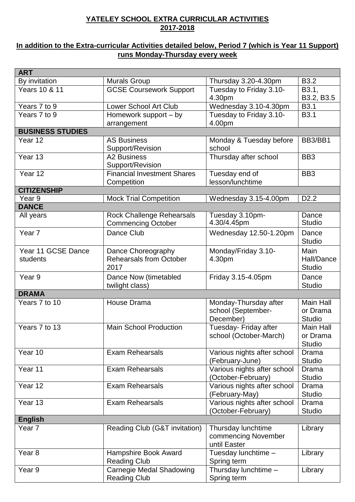## **YATELEY SCHOOL EXTRA CURRICULAR ACTIVITIES 2017-2018**

## **In addition to the Extra-curricular Activities detailed below, Period 7 (which is Year 11 Support) runs Monday-Thursday every week**

| <b>ART</b>                     |                                                              |                                                           |                                        |
|--------------------------------|--------------------------------------------------------------|-----------------------------------------------------------|----------------------------------------|
| By invitation                  | <b>Murals Group</b>                                          | Thursday 3.20-4.30pm                                      | <b>B3.2</b>                            |
| Years 10 & 11                  | <b>GCSE Coursework Support</b>                               | Tuesday to Friday 3.10-<br>4.30pm                         | B3.1,<br>B3.2, B3.5                    |
| Years 7 to 9                   | <b>Lower School Art Club</b>                                 | Wednesday 3.10-4.30pm                                     | B <sub>3.1</sub>                       |
| Years 7 to 9                   | Homework support – by                                        | Tuesday to Friday 3.10-                                   | <b>B3.1</b>                            |
|                                | arrangement                                                  | 4.00pm                                                    |                                        |
| <b>BUSINESS STUDIES</b>        |                                                              |                                                           |                                        |
| Year 12                        | <b>AS Business</b><br>Support/Revision                       | Monday & Tuesday before<br>school                         | BB3/BB1                                |
| Year $1\overline{3}$           | <b>A2 Business</b><br>Support/Revision                       | Thursday after school                                     | BB <sub>3</sub>                        |
| Year 12                        | <b>Financial Investment Shares</b><br>Competition            | Tuesday end of<br>lesson/lunchtime                        | BB <sub>3</sub>                        |
| <b>CITIZENSHIP</b>             |                                                              |                                                           |                                        |
| Year 9                         | <b>Mock Trial Competition</b>                                | Wednesday 3.15-4.00pm                                     | D <sub>2.2</sub>                       |
| <b>DANCE</b>                   |                                                              |                                                           |                                        |
| All years                      | Rock Challenge Rehearsals<br><b>Commencing October</b>       | Tuesday 3.10pm-<br>4.30/4.45pm                            | Dance<br><b>Studio</b>                 |
| Year <sub>7</sub>              | Dance Club                                                   | Wednesday 12.50-1.20pm                                    | Dance<br><b>Studio</b>                 |
| Year 11 GCSE Dance<br>students | Dance Choreography<br><b>Rehearsals from October</b><br>2017 | Monday/Friday 3.10-<br>4.30pm                             | Main<br>Hall/Dance<br><b>Studio</b>    |
| Year 9                         | Dance Now (timetabled<br>twilight class)                     | Friday 3.15-4.05pm                                        | Dance<br><b>Studio</b>                 |
| <b>DRAMA</b>                   |                                                              |                                                           |                                        |
| Years 7 to 10                  | House Drama                                                  | Monday-Thursday after<br>school (September-<br>December)  | <b>Main Hall</b><br>or Drama<br>Studio |
| Years 7 to 13                  | <b>Main School Production</b>                                | Tuesday- Friday after<br>school (October-March)           | Main Hall<br>or Drama<br>Studio        |
| Year 10                        | <b>Exam Rehearsals</b>                                       | Various nights after school<br>(February-June)            | Drama<br><b>Studio</b>                 |
| Year 11                        | <b>Exam Rehearsals</b>                                       | Various nights after school<br>(October-February)         | Drama<br><b>Studio</b>                 |
| Year 12                        | <b>Exam Rehearsals</b>                                       | Various nights after school<br>(February-May)             | <b>Drama</b><br><b>Studio</b>          |
| Year 13                        | <b>Exam Rehearsals</b>                                       | Various nights after school<br>(October-February)         | Drama<br><b>Studio</b>                 |
| <b>English</b>                 |                                                              |                                                           |                                        |
| Year <sub>7</sub>              | Reading Club (G&T invitation)                                | Thursday lunchtime<br>commencing November<br>until Easter | Library                                |
| Year <sub>8</sub>              | Hampshire Book Award<br><b>Reading Club</b>                  | Tuesday lunchtime -<br>Spring term                        | Library                                |
| Year <sub>9</sub>              | Carnegie Medal Shadowing<br><b>Reading Club</b>              | Thursday lunchtime -<br>Spring term                       | Library                                |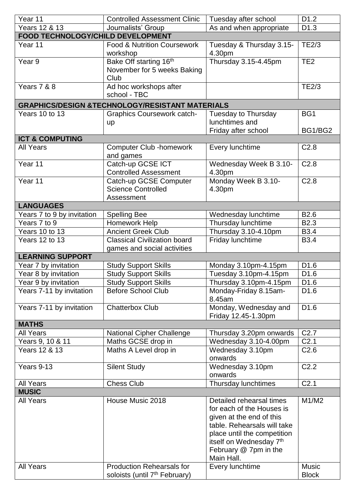| Year 11                           | <b>Controlled Assessment Clinic</b>                        | Tuesday after school            | D <sub>1.2</sub> |
|-----------------------------------|------------------------------------------------------------|---------------------------------|------------------|
| Years 12 & 13                     | Journalists' Group                                         | As and when appropriate         | D <sub>1.3</sub> |
| FOOD TECHNOLOGY/CHILD DEVELOPMENT |                                                            |                                 |                  |
| Year 11                           | <b>Food &amp; Nutrition Coursework</b>                     | Tuesday & Thursday 3.15-        | <b>TE2/3</b>     |
|                                   | workshop                                                   | 4.30pm                          |                  |
| Year 9                            | Bake Off starting 16 <sup>th</sup>                         | Thursday 3.15-4.45pm            | TE <sub>2</sub>  |
|                                   | November for 5 weeks Baking                                |                                 |                  |
|                                   | Club                                                       |                                 |                  |
| Years 7 & 8                       | Ad hoc workshops after                                     |                                 | <b>TE2/3</b>     |
|                                   | school - TBC                                               |                                 |                  |
|                                   | <b>GRAPHICS/DESIGN &amp;TECHNOLOGY/RESISTANT MATERIALS</b> |                                 |                  |
| Years 10 to 13                    | <b>Graphics Coursework catch-</b>                          | Tuesday to Thursday             | BG1              |
|                                   | <b>up</b>                                                  | lunchtimes and                  |                  |
|                                   |                                                            | Friday after school             | BG1/BG2          |
| <b>ICT &amp; COMPUTING</b>        |                                                            |                                 |                  |
| <b>All Years</b>                  | <b>Computer Club -homework</b>                             | Every lunchtime                 | C <sub>2.8</sub> |
|                                   | and games                                                  |                                 |                  |
| Year 11                           | Catch-up GCSE ICT                                          | Wednesday Week B 3.10-          | C <sub>2.8</sub> |
|                                   | <b>Controlled Assessment</b>                               | 4.30pm                          |                  |
| Year 11                           | Catch-up GCSE Computer                                     | Monday Week B 3.10-             | C <sub>2.8</sub> |
|                                   | <b>Science Controlled</b>                                  | 4.30pm                          |                  |
|                                   | Assessment                                                 |                                 |                  |
| <b>LANGUAGES</b>                  |                                                            |                                 |                  |
| Years 7 to 9 by invitation        | <b>Spelling Bee</b>                                        | Wednesday lunchtime             | B <sub>2.6</sub> |
| Years 7 to 9                      | Homework Help                                              | Thursday lunchtime              | B <sub>2.3</sub> |
| Years 10 to 13                    | <b>Ancient Greek Club</b>                                  | Thursday 3.10-4.10pm            | <b>B3.4</b>      |
| Years 12 to 13                    | <b>Classical Civilization board</b>                        | Friday lunchtime                | <b>B3.4</b>      |
|                                   | games and social activities                                |                                 |                  |
| <b>LEARNING SUPPORT</b>           |                                                            |                                 |                  |
| Year 7 by invitation              | <b>Study Support Skills</b>                                | Monday 3.10pm-4.15pm            | D <sub>1.6</sub> |
| Year 8 by invitation              | <b>Study Support Skills</b>                                | Tuesday 3.10pm-4.15pm           | D <sub>1.6</sub> |
| Year 9 by invitation              | Study Support Skills                                       | Thursday 3.10pm-4.15pm          | D1.6             |
| Years 7-11 by invitation          | <b>Before School Club</b>                                  | Monday-Friday 8.15am-<br>8.45am | D <sub>1.6</sub> |
| Years 7-11 by invitation          | <b>Chatterbox Club</b>                                     | Monday, Wednesday and           | D <sub>1.6</sub> |
|                                   |                                                            | Friday 12.45-1.30pm             |                  |
| <b>MATHS</b>                      |                                                            |                                 |                  |
| <b>All Years</b>                  | <b>National Cipher Challenge</b>                           | Thursday 3.20pm onwards         | C <sub>2.7</sub> |
| Years 9, 10 & 11                  | Maths GCSE drop in                                         | Wednesday 3.10-4.00pm           | C <sub>2.1</sub> |
| Years 12 & 13                     | Maths A Level drop in                                      | Wednesday 3.10pm<br>onwards     | C <sub>2.6</sub> |
| Years 9-13                        | <b>Silent Study</b>                                        | Wednesday 3.10pm<br>onwards     | C <sub>2.2</sub> |
| <b>All Years</b>                  | <b>Chess Club</b>                                          | Thursday lunchtimes             | C <sub>2.1</sub> |
| <b>MUSIC</b>                      |                                                            |                                 |                  |
| <b>All Years</b>                  | House Music 2018                                           | Detailed rehearsal times        | M1/M2            |
|                                   |                                                            | for each of the Houses is       |                  |
|                                   |                                                            | given at the end of this        |                  |
|                                   |                                                            | table. Rehearsals will take     |                  |
|                                   |                                                            | place until the competition     |                  |
|                                   |                                                            | itself on Wednesday 7th         |                  |
|                                   |                                                            | February @ 7pm in the           |                  |
|                                   |                                                            | Main Hall.                      |                  |
| <b>All Years</b>                  | <b>Production Rehearsals for</b>                           | Every lunchtime                 | <b>Music</b>     |
|                                   | soloists (until 7 <sup>th</sup> February)                  |                                 | <b>Block</b>     |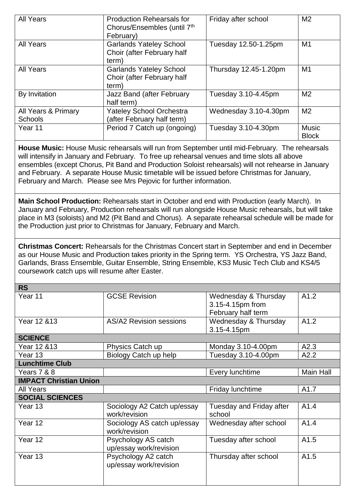| <b>All Years</b>                                                                                                                                                                                                                                                                                                                                                                                                                                                           | <b>Production Rehearsals for</b><br>Chorus/Ensembles (until 7th<br>February) | Friday after school                                            | M <sub>2</sub>               |  |  |
|----------------------------------------------------------------------------------------------------------------------------------------------------------------------------------------------------------------------------------------------------------------------------------------------------------------------------------------------------------------------------------------------------------------------------------------------------------------------------|------------------------------------------------------------------------------|----------------------------------------------------------------|------------------------------|--|--|
| <b>All Years</b>                                                                                                                                                                                                                                                                                                                                                                                                                                                           | <b>Garlands Yateley School</b><br>Choir (after February half<br>term)        | Tuesday 12.50-1.25pm                                           | M1                           |  |  |
| <b>All Years</b>                                                                                                                                                                                                                                                                                                                                                                                                                                                           | <b>Garlands Yateley School</b><br>Choir (after February half<br>term)        | Thursday 12.45-1.20pm                                          | M <sub>1</sub>               |  |  |
| By Invitation                                                                                                                                                                                                                                                                                                                                                                                                                                                              | Jazz Band (after February<br>half term)                                      | Tuesday 3.10-4.45pm                                            | M <sub>2</sub>               |  |  |
| All Years & Primary<br><b>Schools</b>                                                                                                                                                                                                                                                                                                                                                                                                                                      | <b>Yateley School Orchestra</b><br>(after February half term)                | Wednesday 3.10-4.30pm                                          | M <sub>2</sub>               |  |  |
| Year 11                                                                                                                                                                                                                                                                                                                                                                                                                                                                    | Period 7 Catch up (ongoing)                                                  | Tuesday 3.10-4.30pm                                            | <b>Music</b><br><b>Block</b> |  |  |
| House Music: House Music rehearsals will run from September until mid-February. The rehearsals<br>will intensify in January and February. To free up rehearsal venues and time slots all above<br>ensembles (except Chorus, Pit Band and Production Soloist rehearsals) will not rehearse in January<br>and February. A separate House Music timetable will be issued before Christmas for January,<br>February and March. Please see Mrs Pejovic for further information. |                                                                              |                                                                |                              |  |  |
| Main School Production: Rehearsals start in October and end with Production (early March). In<br>January and February, Production rehearsals will run alongside House Music rehearsals, but will take<br>place in M3 (soloists) and M2 (Pit Band and Chorus). A separate rehearsal schedule will be made for<br>the Production just prior to Christmas for January, February and March.                                                                                    |                                                                              |                                                                |                              |  |  |
| <b>Christmas Concert:</b> Rehearsals for the Christmas Concert start in September and end in December<br>as our House Music and Production takes priority in the Spring term. YS Orchestra, YS Jazz Band,<br>Garlands, Brass Ensemble, Guitar Ensemble, String Ensemble, KS3 Music Tech Club and KS4/5<br>coursework catch ups will resume after Easter.                                                                                                                   |                                                                              |                                                                |                              |  |  |
| <b>RS</b>                                                                                                                                                                                                                                                                                                                                                                                                                                                                  |                                                                              |                                                                |                              |  |  |
| Year 11                                                                                                                                                                                                                                                                                                                                                                                                                                                                    | <b>GCSE Revision</b>                                                         | Wednesday & Thursday<br>3.15-4.15pm from<br>February half term | A1.2                         |  |  |
| Year 12 & 13                                                                                                                                                                                                                                                                                                                                                                                                                                                               | <b>AS/A2 Revision sessions</b>                                               | Wednesday & Thursday<br>3.15-4.15pm                            | A1.2                         |  |  |
| <b>SCIENCE</b>                                                                                                                                                                                                                                                                                                                                                                                                                                                             |                                                                              |                                                                |                              |  |  |
| Year 12 & 13                                                                                                                                                                                                                                                                                                                                                                                                                                                               | Physics Catch up                                                             | Monday 3.10-4.00pm                                             | A2.3                         |  |  |
| Year 13                                                                                                                                                                                                                                                                                                                                                                                                                                                                    | Biology Catch up help                                                        | Tuesday 3.10-4.00pm                                            | A2.2                         |  |  |
| <b>Lunchtime Club</b>                                                                                                                                                                                                                                                                                                                                                                                                                                                      |                                                                              |                                                                |                              |  |  |
| Years 7 & 8                                                                                                                                                                                                                                                                                                                                                                                                                                                                |                                                                              | Every lunchtime                                                | <b>Main Hall</b>             |  |  |
| <b>IMPACT Christian Union</b>                                                                                                                                                                                                                                                                                                                                                                                                                                              |                                                                              |                                                                |                              |  |  |
| <b>All Years</b>                                                                                                                                                                                                                                                                                                                                                                                                                                                           |                                                                              | Friday lunchtime                                               | A1.7                         |  |  |
| <b>SOCIAL SCIENCES</b>                                                                                                                                                                                                                                                                                                                                                                                                                                                     |                                                                              |                                                                |                              |  |  |
| Year 13                                                                                                                                                                                                                                                                                                                                                                                                                                                                    | Sociology A2 Catch up/essay<br>work/revision                                 | Tuesday and Friday after<br>school                             | A1.4                         |  |  |
| Year 12                                                                                                                                                                                                                                                                                                                                                                                                                                                                    | Sociology AS catch up/essay<br>work/revision                                 | Wednesday after school                                         | A1.4                         |  |  |
| Year 12                                                                                                                                                                                                                                                                                                                                                                                                                                                                    | Psychology AS catch<br>up/essay work/revision                                | Tuesday after school                                           | A1.5                         |  |  |
| Year 13                                                                                                                                                                                                                                                                                                                                                                                                                                                                    | Psychology A2 catch<br>up/essay work/revision                                | Thursday after school                                          | A1.5                         |  |  |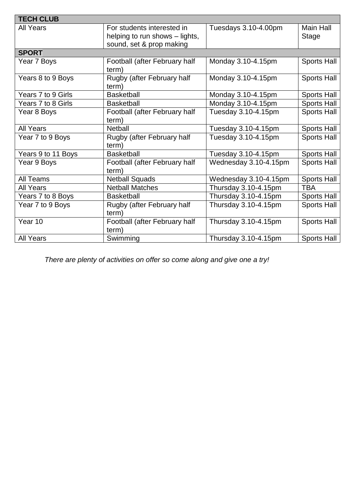| <b>TECH CLUB</b>   |                                                                                          |                       |                           |  |
|--------------------|------------------------------------------------------------------------------------------|-----------------------|---------------------------|--|
| <b>All Years</b>   | For students interested in<br>helping to run shows – lights,<br>sound, set & prop making | Tuesdays 3.10-4.00pm  | <b>Main Hall</b><br>Stage |  |
| <b>SPORT</b>       |                                                                                          |                       |                           |  |
| Year 7 Boys        | Football (after February half<br>term)                                                   | Monday 3.10-4.15pm    | <b>Sports Hall</b>        |  |
| Years 8 to 9 Boys  | Rugby (after February half<br>term)                                                      | Monday 3.10-4.15pm    | <b>Sports Hall</b>        |  |
| Years 7 to 9 Girls | <b>Basketball</b>                                                                        | Monday 3.10-4.15pm    | <b>Sports Hall</b>        |  |
| Years 7 to 8 Girls | <b>Basketball</b>                                                                        | Monday 3.10-4.15pm    | <b>Sports Hall</b>        |  |
| Year 8 Boys        | Football (after February half<br>term)                                                   | Tuesday 3.10-4.15pm   | <b>Sports Hall</b>        |  |
| <b>All Years</b>   | <b>Netball</b>                                                                           | Tuesday 3.10-4.15pm   | <b>Sports Hall</b>        |  |
| Year 7 to 9 Boys   | Rugby (after February half<br>term)                                                      | Tuesday 3.10-4.15pm   | <b>Sports Hall</b>        |  |
| Years 9 to 11 Boys | <b>Basketball</b>                                                                        | Tuesday 3.10-4.15pm   | <b>Sports Hall</b>        |  |
| Year 9 Boys        | Football (after February half<br>term)                                                   | Wednesday 3.10-4.15pm | <b>Sports Hall</b>        |  |
| All Teams          | <b>Netball Squads</b>                                                                    | Wednesday 3.10-4.15pm | <b>Sports Hall</b>        |  |
| <b>All Years</b>   | <b>Netball Matches</b>                                                                   | Thursday 3.10-4.15pm  | <b>TBA</b>                |  |
| Years 7 to 8 Boys  | <b>Basketball</b>                                                                        | Thursday 3.10-4.15pm  | <b>Sports Hall</b>        |  |
| Year 7 to 9 Boys   | Rugby (after February half<br>term)                                                      | Thursday 3.10-4.15pm  | <b>Sports Hall</b>        |  |
| Year 10            | Football (after February half<br>term)                                                   | Thursday 3.10-4.15pm  | <b>Sports Hall</b>        |  |
| <b>All Years</b>   | Swimming                                                                                 | Thursday 3.10-4.15pm  | Sports Hall               |  |

*There are plenty of activities on offer so come along and give one a try!*